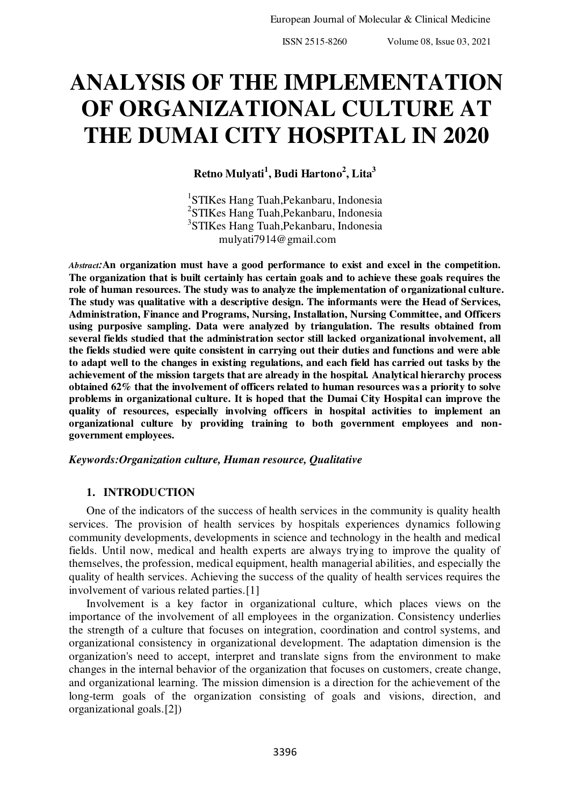# **ANALYSIS OF THE IMPLEMENTATION OF ORGANIZATIONAL CULTURE AT THE DUMAI CITY HOSPITAL IN 2020**

**Retno Mulyati<sup>1</sup> , Budi Hartono<sup>2</sup> , Lita<sup>3</sup>**

 STIKes Hang Tuah,Pekanbaru, Indonesia STIKes Hang Tuah,Pekanbaru, Indonesia STIKes Hang Tuah,Pekanbaru, Indonesia mulyati7914@gmail.com

*Abstract:***An organization must have a good performance to exist and excel in the competition. The organization that is built certainly has certain goals and to achieve these goals requires the role of human resources. The study was to analyze the implementation of organizational culture. The study was qualitative with a descriptive design. The informants were the Head of Services, Administration, Finance and Programs, Nursing, Installation, Nursing Committee, and Officers using purposive sampling. Data were analyzed by triangulation. The results obtained from several fields studied that the administration sector still lacked organizational involvement, all the fields studied were quite consistent in carrying out their duties and functions and were able to adapt well to the changes in existing regulations, and each field has carried out tasks by the achievement of the mission targets that are already in the hospital. Analytical hierarchy process obtained 62% that the involvement of officers related to human resources was a priority to solve problems in organizational culture. It is hoped that the Dumai City Hospital can improve the quality of resources, especially involving officers in hospital activities to implement an organizational culture by providing training to both government employees and nongovernment employees.** 

## *Keywords:Organization culture, Human resource, Qualitative*

# **1. INTRODUCTION**

One of the indicators of the success of health services in the community is quality health services. The provision of health services by hospitals experiences dynamics following community developments, developments in science and technology in the health and medical fields. Until now, medical and health experts are always trying to improve the quality of themselves, the profession, medical equipment, health managerial abilities, and especially the quality of health services. Achieving the success of the quality of health services requires the involvement of various related parties.[1]

Involvement is a key factor in organizational culture, which places views on the importance of the involvement of all employees in the organization. Consistency underlies the strength of a culture that focuses on integration, coordination and control systems, and organizational consistency in organizational development. The adaptation dimension is the organization's need to accept, interpret and translate signs from the environment to make changes in the internal behavior of the organization that focuses on customers, create change, and organizational learning. The mission dimension is a direction for the achievement of the long-term goals of the organization consisting of goals and visions, direction, and organizational goals.[2])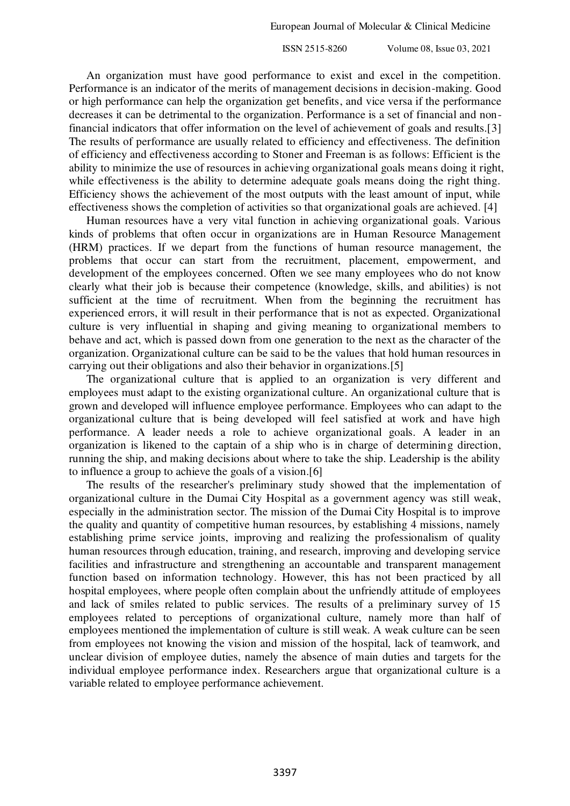An organization must have good performance to exist and excel in the competition. Performance is an indicator of the merits of management decisions in decision-making. Good or high performance can help the organization get benefits, and vice versa if the performance decreases it can be detrimental to the organization. Performance is a set of financial and nonfinancial indicators that offer information on the level of achievement of goals and results.[3] The results of performance are usually related to efficiency and effectiveness. The definition of efficiency and effectiveness according to Stoner and Freeman is as follows: Efficient is the ability to minimize the use of resources in achieving organizational goals means doing it right, while effectiveness is the ability to determine adequate goals means doing the right thing. Efficiency shows the achievement of the most outputs with the least amount of input, while effectiveness shows the completion of activities so that organizational goals are achieved. [4]

Human resources have a very vital function in achieving organizational goals. Various kinds of problems that often occur in organizations are in Human Resource Management (HRM) practices. If we depart from the functions of human resource management, the problems that occur can start from the recruitment, placement, empowerment, and development of the employees concerned. Often we see many employees who do not know clearly what their job is because their competence (knowledge, skills, and abilities) is not sufficient at the time of recruitment. When from the beginning the recruitment has experienced errors, it will result in their performance that is not as expected. Organizational culture is very influential in shaping and giving meaning to organizational members to behave and act, which is passed down from one generation to the next as the character of the organization. Organizational culture can be said to be the values that hold human resources in carrying out their obligations and also their behavior in organizations.[5]

The organizational culture that is applied to an organization is very different and employees must adapt to the existing organizational culture. An organizational culture that is grown and developed will influence employee performance. Employees who can adapt to the organizational culture that is being developed will feel satisfied at work and have high performance. A leader needs a role to achieve organizational goals. A leader in an organization is likened to the captain of a ship who is in charge of determining direction, running the ship, and making decisions about where to take the ship. Leadership is the ability to influence a group to achieve the goals of a vision.[6]

The results of the researcher's preliminary study showed that the implementation of organizational culture in the Dumai City Hospital as a government agency was still weak, especially in the administration sector. The mission of the Dumai City Hospital is to improve the quality and quantity of competitive human resources, by establishing 4 missions, namely establishing prime service joints, improving and realizing the professionalism of quality human resources through education, training, and research, improving and developing service facilities and infrastructure and strengthening an accountable and transparent management function based on information technology. However, this has not been practiced by all hospital employees, where people often complain about the unfriendly attitude of employees and lack of smiles related to public services. The results of a preliminary survey of 15 employees related to perceptions of organizational culture, namely more than half of employees mentioned the implementation of culture is still weak. A weak culture can be seen from employees not knowing the vision and mission of the hospital, lack of teamwork, and unclear division of employee duties, namely the absence of main duties and targets for the individual employee performance index. Researchers argue that organizational culture is a variable related to employee performance achievement.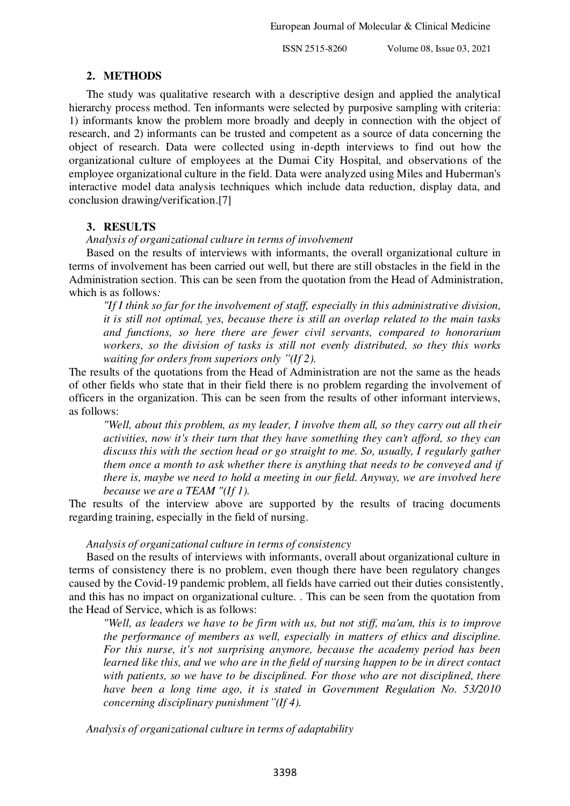#### **2. METHODS**

The study was qualitative research with a descriptive design and applied the analytical hierarchy process method. Ten informants were selected by purposive sampling with criteria: 1) informants know the problem more broadly and deeply in connection with the object of research, and 2) informants can be trusted and competent as a source of data concerning the object of research. Data were collected using in-depth interviews to find out how the organizational culture of employees at the Dumai City Hospital, and observations of the employee organizational culture in the field. Data were analyzed using Miles and Huberman's interactive model data analysis techniques which include data reduction, display data, and conclusion drawing/verification.[7]

## **3. RESULTS**

#### *Analysis of organizational culture in terms of involvement*

Based on the results of interviews with informants, the overall organizational culture in terms of involvement has been carried out well, but there are still obstacles in the field in the Administration section. This can be seen from the quotation from the Head of Administration, which is as follows*:*

*"If I think so far for the involvement of staff, especially in this administrative division, it is still not optimal, yes, because there is still an overlap related to the main tasks and functions, so here there are fewer civil servants, compared to honorarium workers, so the division of tasks is still not evenly distributed, so they this works waiting for orders from superiors only "(If 2).* 

The results of the quotations from the Head of Administration are not the same as the heads of other fields who state that in their field there is no problem regarding the involvement of officers in the organization. This can be seen from the results of other informant interviews, as follows:

*"Well, about this problem, as my leader, I involve them all, so they carry out all their activities, now it's their turn that they have something they can't afford, so they can discuss this with the section head or go straight to me. So, usually, I regularly gather them once a month to ask whether there is anything that needs to be conveyed and if there is, maybe we need to hold a meeting in our field. Anyway, we are involved here because we are a TEAM "(If 1).* 

The results of the interview above are supported by the results of tracing documents regarding training, especially in the field of nursing.

#### *Analysis of organizational culture in terms of consistency*

Based on the results of interviews with informants, overall about organizational culture in terms of consistency there is no problem, even though there have been regulatory changes caused by the Covid-19 pandemic problem, all fields have carried out their duties consistently, and this has no impact on organizational culture. . This can be seen from the quotation from the Head of Service, which is as follows:

*"Well, as leaders we have to be firm with us, but not stiff, ma'am, this is to improve the performance of members as well, especially in matters of ethics and discipline. For this nurse, it's not surprising anymore, because the academy period has been learned like this, and we who are in the field of nursing happen to be in direct contact with patients, so we have to be disciplined. For those who are not disciplined, there have been a long time ago, it is stated in Government Regulation No. 53/2010 concerning disciplinary punishment"(If 4).* 

*Analysis of organizational culture in terms of adaptability*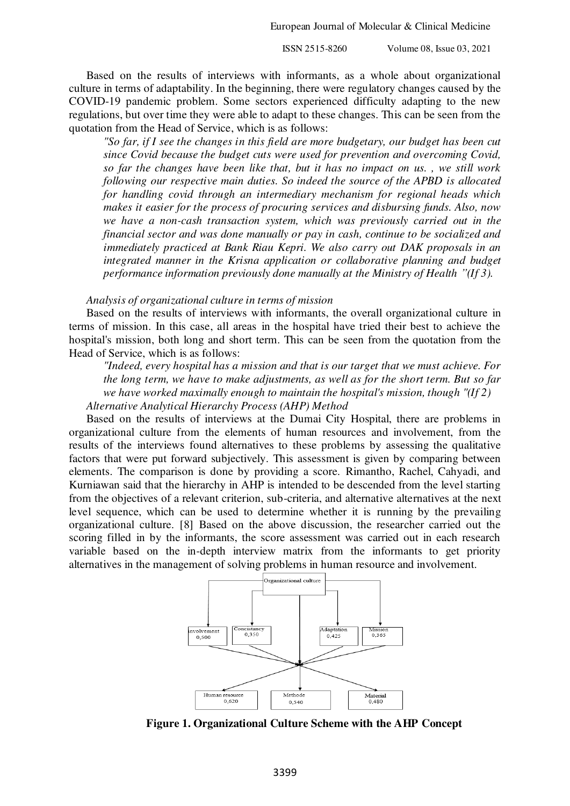European Journal of Molecular & Clinical Medicine

ISSN 2515-8260 Volume 08, Issue 03, 2021

Based on the results of interviews with informants, as a whole about organizational culture in terms of adaptability. In the beginning, there were regulatory changes caused by the COVID-19 pandemic problem. Some sectors experienced difficulty adapting to the new regulations, but over time they were able to adapt to these changes. This can be seen from the quotation from the Head of Service, which is as follows:

*"So far, if I see the changes in this field are more budgetary, our budget has been cut since Covid because the budget cuts were used for prevention and overcoming Covid, so far the changes have been like that, but it has no impact on us. , we still work following our respective main duties. So indeed the source of the APBD is allocated for handling covid through an intermediary mechanism for regional heads which makes it easier for the process of procuring services and disbursing funds. Also, now we have a non-cash transaction system, which was previously carried out in the financial sector and was done manually or pay in cash, continue to be socialized and immediately practiced at Bank Riau Kepri. We also carry out DAK proposals in an integrated manner in the Krisna application or collaborative planning and budget performance information previously done manually at the Ministry of Health "(If 3).* 

*Analysis of organizational culture in terms of mission* 

Based on the results of interviews with informants, the overall organizational culture in terms of mission. In this case, all areas in the hospital have tried their best to achieve the hospital's mission, both long and short term. This can be seen from the quotation from the Head of Service, which is as follows:

*"Indeed, every hospital has a mission and that is our target that we must achieve. For the long term, we have to make adjustments, as well as for the short term. But so far we have worked maximally enough to maintain the hospital's mission, though "(If 2) Alternative Analytical Hierarchy Process (AHP) Method* 

Based on the results of interviews at the Dumai City Hospital, there are problems in organizational culture from the elements of human resources and involvement, from the results of the interviews found alternatives to these problems by assessing the qualitative factors that were put forward subjectively. This assessment is given by comparing between elements. The comparison is done by providing a score. Rimantho, Rachel, Cahyadi, and Kurniawan said that the hierarchy in AHP is intended to be descended from the level starting from the objectives of a relevant criterion, sub-criteria, and alternative alternatives at the next level sequence, which can be used to determine whether it is running by the prevailing organizational culture. [8] Based on the above discussion, the researcher carried out the scoring filled in by the informants, the score assessment was carried out in each research variable based on the in-depth interview matrix from the informants to get priority alternatives in the management of solving problems in human resource and involvement.



 **Figure 1. Organizational Culture Scheme with the AHP Concept**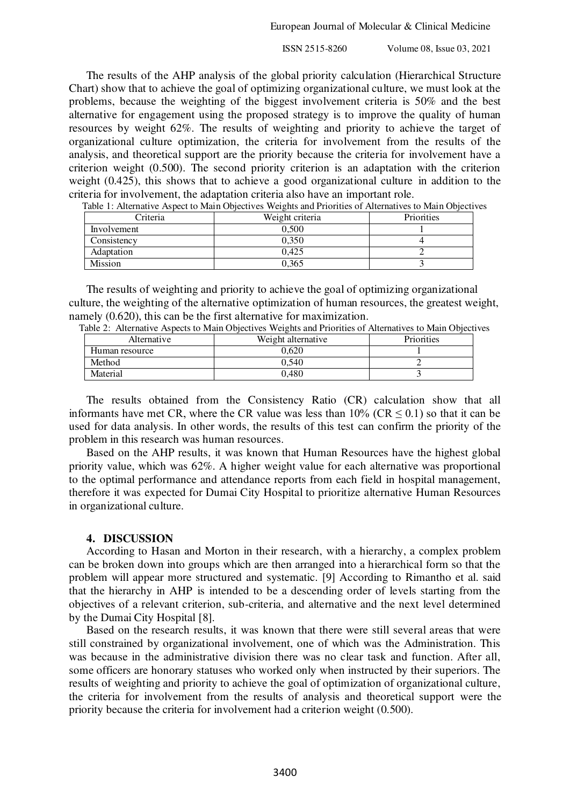The results of the AHP analysis of the global priority calculation (Hierarchical Structure Chart) show that to achieve the goal of optimizing organizational culture, we must look at the problems, because the weighting of the biggest involvement criteria is 50% and the best alternative for engagement using the proposed strategy is to improve the quality of human resources by weight 62%. The results of weighting and priority to achieve the target of organizational culture optimization, the criteria for involvement from the results of the analysis, and theoretical support are the priority because the criteria for involvement have a criterion weight (0.500). The second priority criterion is an adaptation with the criterion weight (0.425), this shows that to achieve a good organizational culture in addition to the criteria for involvement, the adaptation criteria also have an important role.

| Criteria    | Weight criteria | Priorities |
|-------------|-----------------|------------|
| Involvement | 0.500           |            |
| Consistency | 0.350           |            |
| Adaptation  | 0.425           |            |
| Mission     | 0,365           |            |

Table 1: Alternative Aspect to Main Objectives Weights and Priorities of Alternatives to Main Objectives

The results of weighting and priority to achieve the goal of optimizing organizational culture, the weighting of the alternative optimization of human resources, the greatest weight, namely (0.620), this can be the first alternative for maximization.

| Alternative    | able 2. Fullman ve Fispecis to infain Objectives Weights and Findinies of Fullman vesto Main Objecti<br>Weight alternative | <b>Priorities</b> |
|----------------|----------------------------------------------------------------------------------------------------------------------------|-------------------|
| Human resource | 0.620                                                                                                                      |                   |
| Method         | 0.540                                                                                                                      |                   |
| Material       | 0.480                                                                                                                      |                   |

Table 2: Alternative Aspects to Main Objectives Weights and Priorities of Alternatives to Main Objectives

The results obtained from the Consistency Ratio (CR) calculation show that all informants have met CR, where the CR value was less than  $10\%$  (CR  $\leq$  0.1) so that it can be used for data analysis. In other words, the results of this test can confirm the priority of the problem in this research was human resources.

Based on the AHP results, it was known that Human Resources have the highest global priority value, which was 62%. A higher weight value for each alternative was proportional to the optimal performance and attendance reports from each field in hospital management, therefore it was expected for Dumai City Hospital to prioritize alternative Human Resources in organizational culture.

## **4. DISCUSSION**

According to Hasan and Morton in their research, with a hierarchy, a complex problem can be broken down into groups which are then arranged into a hierarchical form so that the problem will appear more structured and systematic. [9] According to Rimantho et al. said that the hierarchy in AHP is intended to be a descending order of levels starting from the objectives of a relevant criterion, sub-criteria, and alternative and the next level determined by the Dumai City Hospital [8].

Based on the research results, it was known that there were still several areas that were still constrained by organizational involvement, one of which was the Administration. This was because in the administrative division there was no clear task and function. After all, some officers are honorary statuses who worked only when instructed by their superiors. The results of weighting and priority to achieve the goal of optimization of organizational culture, the criteria for involvement from the results of analysis and theoretical support were the priority because the criteria for involvement had a criterion weight (0.500).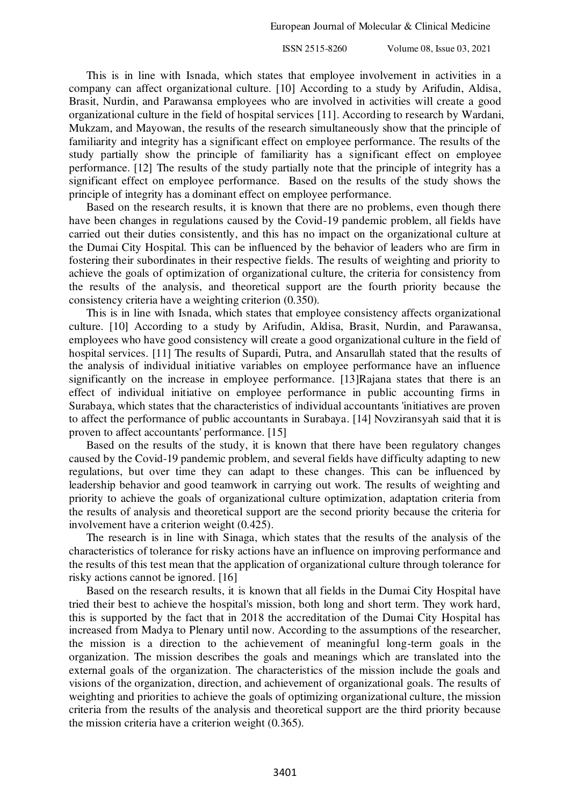This is in line with Isnada, which states that employee involvement in activities in a company can affect organizational culture. [10] According to a study by Arifudin, Aldisa, Brasit, Nurdin, and Parawansa employees who are involved in activities will create a good organizational culture in the field of hospital services [11]. According to research by Wardani, Mukzam, and Mayowan, the results of the research simultaneously show that the principle of familiarity and integrity has a significant effect on employee performance. The results of the study partially show the principle of familiarity has a significant effect on employee performance. [12] The results of the study partially note that the principle of integrity has a significant effect on employee performance. Based on the results of the study shows the principle of integrity has a dominant effect on employee performance.

Based on the research results, it is known that there are no problems, even though there have been changes in regulations caused by the Covid-19 pandemic problem, all fields have carried out their duties consistently, and this has no impact on the organizational culture at the Dumai City Hospital. This can be influenced by the behavior of leaders who are firm in fostering their subordinates in their respective fields. The results of weighting and priority to achieve the goals of optimization of organizational culture, the criteria for consistency from the results of the analysis, and theoretical support are the fourth priority because the consistency criteria have a weighting criterion (0.350).

This is in line with Isnada, which states that employee consistency affects organizational culture. [10] According to a study by Arifudin, Aldisa, Brasit, Nurdin, and Parawansa, employees who have good consistency will create a good organizational culture in the field of hospital services. [11] The results of Supardi, Putra, and Ansarullah stated that the results of the analysis of individual initiative variables on employee performance have an influence significantly on the increase in employee performance. [13]Rajana states that there is an effect of individual initiative on employee performance in public accounting firms in Surabaya, which states that the characteristics of individual accountants 'initiatives are proven to affect the performance of public accountants in Surabaya. [14] Novziransyah said that it is proven to affect accountants' performance. [15]

Based on the results of the study, it is known that there have been regulatory changes caused by the Covid-19 pandemic problem, and several fields have difficulty adapting to new regulations, but over time they can adapt to these changes. This can be influenced by leadership behavior and good teamwork in carrying out work. The results of weighting and priority to achieve the goals of organizational culture optimization, adaptation criteria from the results of analysis and theoretical support are the second priority because the criteria for involvement have a criterion weight (0.425).

The research is in line with Sinaga, which states that the results of the analysis of the characteristics of tolerance for risky actions have an influence on improving performance and the results of this test mean that the application of organizational culture through tolerance for risky actions cannot be ignored. [16]

Based on the research results, it is known that all fields in the Dumai City Hospital have tried their best to achieve the hospital's mission, both long and short term. They work hard, this is supported by the fact that in 2018 the accreditation of the Dumai City Hospital has increased from Madya to Plenary until now. According to the assumptions of the researcher, the mission is a direction to the achievement of meaningful long-term goals in the organization. The mission describes the goals and meanings which are translated into the external goals of the organization. The characteristics of the mission include the goals and visions of the organization, direction, and achievement of organizational goals. The results of weighting and priorities to achieve the goals of optimizing organizational culture, the mission criteria from the results of the analysis and theoretical support are the third priority because the mission criteria have a criterion weight (0.365).